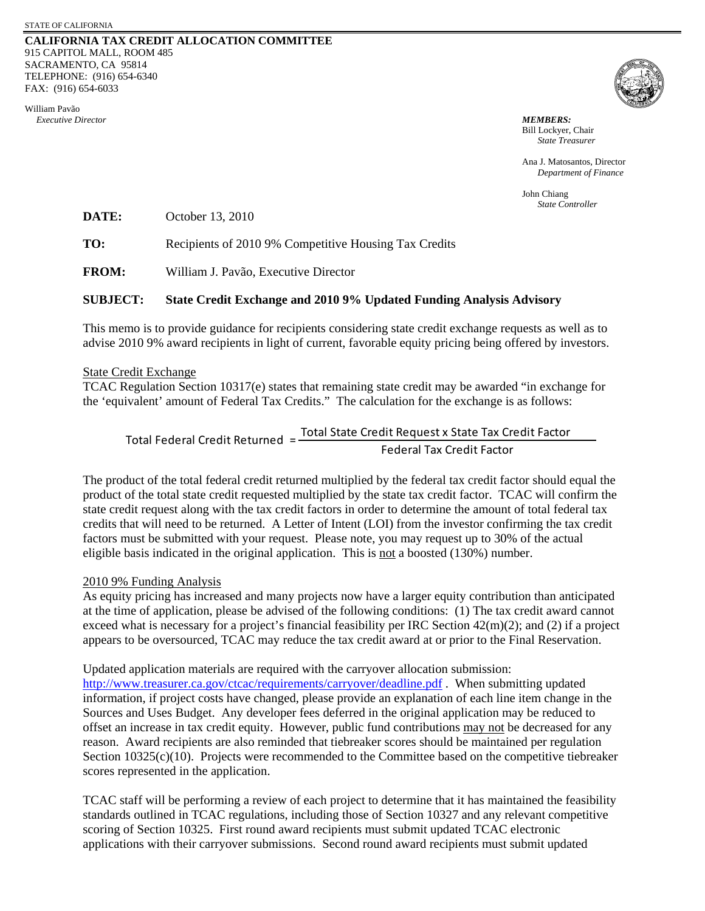## **CALIFORNIA TAX CREDIT ALLOCATION COMMITTEE** 915 CAPITOL MALL, ROOM 485 SACRAMENTO, CA 95814 TELEPHONE: (916) 654-6340 FAX: (916) 654-6033

William Pavão  *Executive Director MEMBERS:*



Bill Lockyer, Chair *State Treasurer*

Ana J. Matosantos, Director *Department of Finance*

John Chiang *State Controller*

**DATE:** October 13, 2010

TO: Recipients of 2010 9% Competitive Housing Tax Credits

**FROM:** William J. Pavão, Executive Director

## **SUBJECT: State Credit Exchange and 2010 9% Updated Funding Analysis Advisory**

This memo is to provide guidance for recipients considering state credit exchange requests as well as to advise 2010 9% award recipients in light of current, favorable equity pricing being offered by investors.

## State Credit Exchange

TCAC Regulation Section 10317(e) states that remaining state credit may be awarded "in exchange for the 'equivalent' amount of Federal Tax Credits." The calculation for the exchange is as follows:

Total State Credit Request x State Tax Credit Factor Federal Tax Credit Factor Total Federal Credit Returned =

The product of the total federal credit returned multiplied by the federal tax credit factor should equal the product of the total state credit requested multiplied by the state tax credit factor. TCAC will confirm the state credit request along with the tax credit factors in order to determine the amount of total federal tax credits that will need to be returned. A Letter of Intent (LOI) from the investor confirming the tax credit factors must be submitted with your request. Please note, you may request up to 30% of the actual eligible basis indicated in the original application. This is not a boosted (130%) number.

## 2010 9% Funding Analysis

As equity pricing has increased and many projects now have a larger equity contribution than anticipated at the time of application, please be advised of the following conditions: (1) The tax credit award cannot exceed what is necessary for a project's financial feasibility per IRC Section 42(m)(2); and (2) if a project appears to be oversourced, TCAC may reduce the tax credit award at or prior to the Final Reservation.

Updated application materials are required with the carryover allocation submission: <http://www.treasurer.ca.gov/ctcac/requirements/carryover/deadline.pdf> . When submitting updated information, if project costs have changed, please provide an explanation of each line item change in the Sources and Uses Budget. Any developer fees deferred in the original application may be reduced to offset an increase in tax credit equity. However, public fund contributions may not be decreased for any reason. Award recipients are also reminded that tiebreaker scores should be maintained per regulation Section 10325(c)(10). Projects were recommended to the Committee based on the competitive tiebreaker scores represented in the application.

TCAC staff will be performing a review of each project to determine that it has maintained the feasibility standards outlined in TCAC regulations, including those of Section 10327 and any relevant competitive scoring of Section 10325. First round award recipients must submit updated TCAC electronic applications with their carryover submissions. Second round award recipients must submit updated